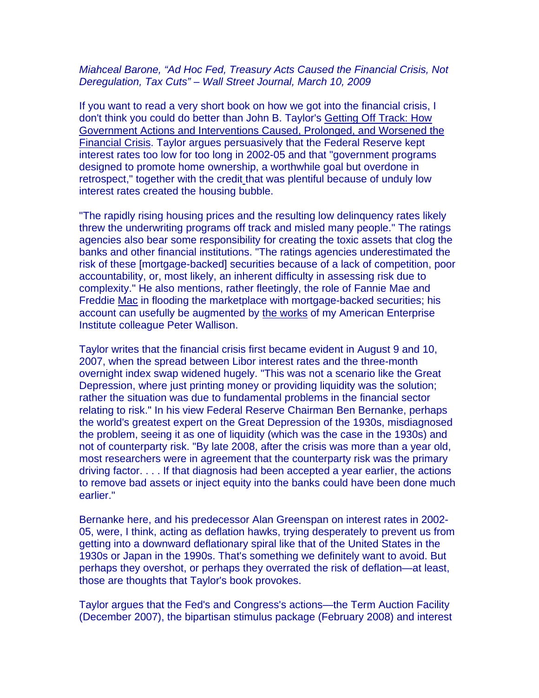## Miahceal Barone, "Ad Hoc Fed, Treasury Acts Caused the Financial Crisis, Not Deregulation, Tax Cuts" – Wall Street Journal, March 10, 2009

If you want to read a very short book on how we got into the financial crisis, I don't think you could do better than John B. Taylor's Getting Off Track: How Government Actions and Interventions Caused, Prolonged, and Worsened the Financial Crisis. Taylor argues persuasively that the Federal Reserve kept interest rates too low for too long in 2002-05 and that "government programs designed to promote home ownership, a worthwhile goal but overdone in retrospect," together with the credit that was plentiful because of unduly low interest rates created the housing bubble.

"The rapidly rising housing prices and the resulting low delinquency rates likely threw the underwriting programs off track and misled many people." The ratings agencies also bear some responsibility for creating the toxic assets that clog the banks and other financial institutions. "The ratings agencies underestimated the risk of these [mortgage-backed] securities because of a lack of competition, poor accountability, or, most likely, an inherent difficulty in assessing risk due to complexity." He also mentions, rather fleetingly, the role of Fannie Mae and Freddie Mac in flooding the marketplace with mortgage-backed securities; his account can usefully be augmented by the works of my American Enterprise Institute colleague Peter Wallison.

Taylor writes that the financial crisis first became evident in August 9 and 10, 2007, when the spread between Libor interest rates and the three-month overnight index swap widened hugely. "This was not a scenario like the Great Depression, where just printing money or providing liquidity was the solution; rather the situation was due to fundamental problems in the financial sector relating to risk." In his view Federal Reserve Chairman Ben Bernanke, perhaps the world's greatest expert on the Great Depression of the 1930s, misdiagnosed the problem, seeing it as one of liquidity (which was the case in the 1930s) and not of counterparty risk. "By late 2008, after the crisis was more than a year old, most researchers were in agreement that the counterparty risk was the primary driving factor. . . . If that diagnosis had been accepted a year earlier, the actions to remove bad assets or inject equity into the banks could have been done much earlier."

Bernanke here, and his predecessor Alan Greenspan on interest rates in 2002- 05, were, I think, acting as deflation hawks, trying desperately to prevent us from getting into a downward deflationary spiral like that of the United States in the 1930s or Japan in the 1990s. That's something we definitely want to avoid. But perhaps they overshot, or perhaps they overrated the risk of deflation—at least, those are thoughts that Taylor's book provokes.

Taylor argues that the Fed's and Congress's actions—the Term Auction Facility (December 2007), the bipartisan stimulus package (February 2008) and interest